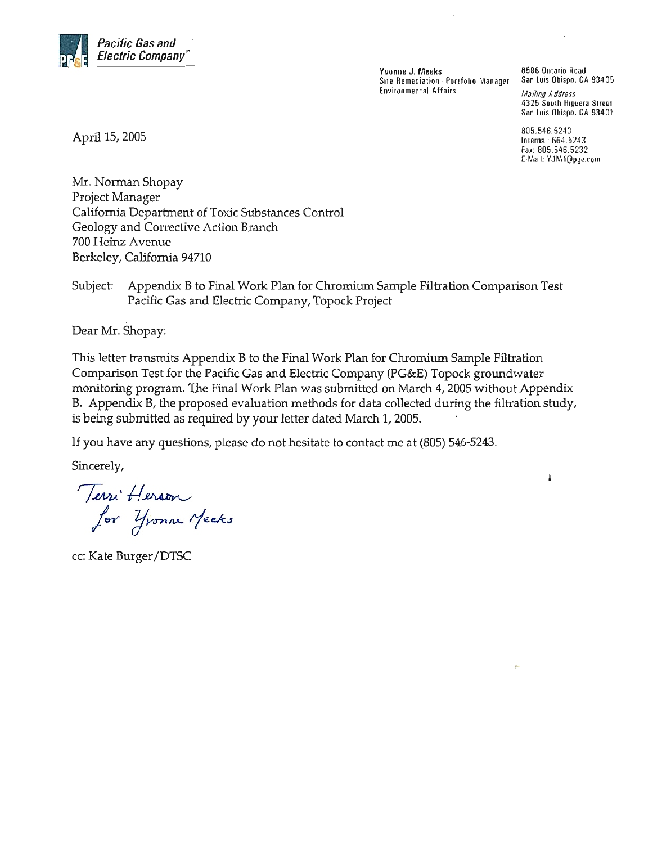

Yvonne J. Meeks Site Remediation - Portfolio Manager **Environmental Affairs** 

6588 Ontario Road San Luis Obispo, CA 93405

**Mailing Address** 4325 South Higuera Street San Luis Obispo, CA 93401

805.546.5243 Internal: 664.5243 Fax: 805.546.5232 E-Mail: YJM1@pge.com

ı

April 15, 2005

Mr. Norman Shopay Project Manager California Department of Toxic Substances Control Geology and Corrective Action Branch 700 Heinz Avenue Berkeley, California 94710

Appendix B to Final Work Plan for Chromium Sample Filtration Comparison Test Subject: Pacific Gas and Electric Company, Topock Project

Dear Mr. Shopay:

This letter transmits Appendix B to the Final Work Plan for Chromium Sample Filtration Comparison Test for the Pacific Gas and Electric Company (PG&E) Topock groundwater monitoring program. The Final Work Plan was submitted on March 4, 2005 without Appendix B. Appendix B, the proposed evaluation methods for data collected during the filtration study, is being submitted as required by your letter dated March 1, 2005.

If you have any questions, please do not hesitate to contact me at (805) 546-5243.

Sincerely,

Terri Herson<br>for Yvonne Mecks

cc: Kate Burger/DTSC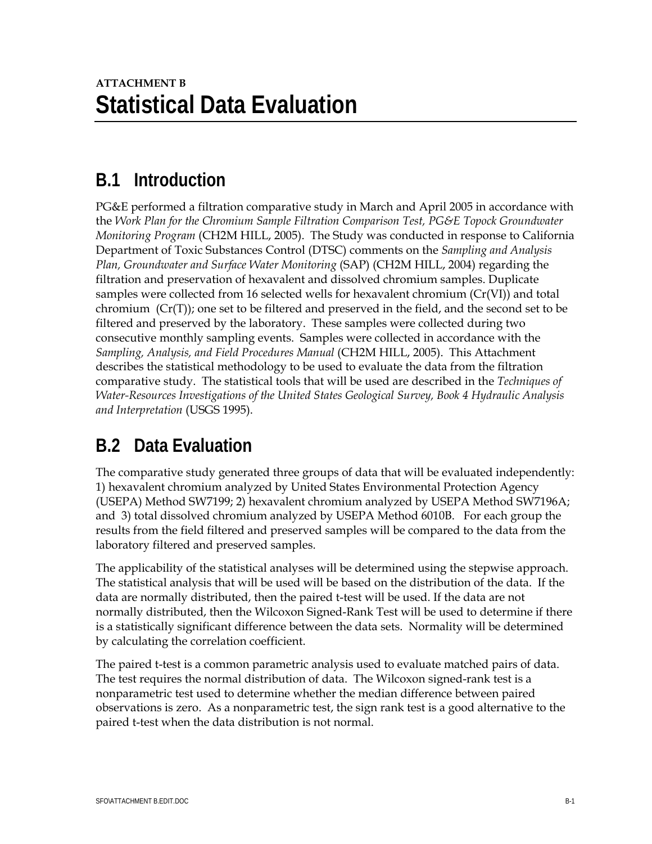## **B.1 Introduction**

PG&E performed a filtration comparative study in March and April 2005 in accordance with the *Work Plan for the Chromium Sample Filtration Comparison Test, PG&E Topock Groundwater Monitoring Program* (CH2M HILL, 2005). The Study was conducted in response to California Department of Toxic Substances Control (DTSC) comments on the *Sampling and Analysis Plan, Groundwater and Surface Water Monitoring* (SAP) (CH2M HILL, 2004) regarding the filtration and preservation of hexavalent and dissolved chromium samples. Duplicate samples were collected from 16 selected wells for hexavalent chromium (Cr(VI)) and total chromium (Cr(T)); one set to be filtered and preserved in the field, and the second set to be filtered and preserved by the laboratory. These samples were collected during two consecutive monthly sampling events. Samples were collected in accordance with the *Sampling, Analysis, and Field Procedures Manual* (CH2M HILL, 2005). This Attachment describes the statistical methodology to be used to evaluate the data from the filtration comparative study. The statistical tools that will be used are described in the *Techniques of Water-Resources Investigations of the United States Geological Survey, Book 4 Hydraulic Analysis and Interpretation* (USGS 1995).

## **B.2 Data Evaluation**

The comparative study generated three groups of data that will be evaluated independently: 1) hexavalent chromium analyzed by United States Environmental Protection Agency (USEPA) Method SW7199; 2) hexavalent chromium analyzed by USEPA Method SW7196A; and 3) total dissolved chromium analyzed by USEPA Method 6010B. For each group the results from the field filtered and preserved samples will be compared to the data from the laboratory filtered and preserved samples.

The applicability of the statistical analyses will be determined using the stepwise approach. The statistical analysis that will be used will be based on the distribution of the data. If the data are normally distributed, then the paired t-test will be used. If the data are not normally distributed, then the Wilcoxon Signed-Rank Test will be used to determine if there is a statistically significant difference between the data sets. Normality will be determined by calculating the correlation coefficient.

The paired t-test is a common parametric analysis used to evaluate matched pairs of data. The test requires the normal distribution of data. The Wilcoxon signed-rank test is a nonparametric test used to determine whether the median difference between paired observations is zero. As a nonparametric test, the sign rank test is a good alternative to the paired t-test when the data distribution is not normal.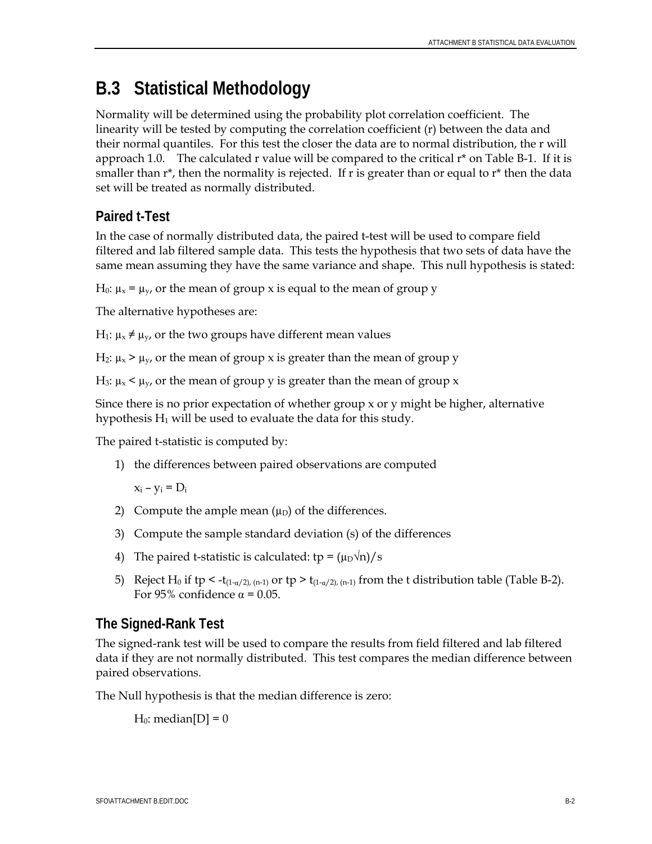# **B.3 Statistical Methodology**

Normality will be determined using the probability plot correlation coefficient. The linearity will be tested by computing the correlation coefficient (r) between the data and their normal quantiles. For this test the closer the data are to normal distribution, the r will approach 1.0. The calculated r value will be compared to the critical  $r^*$  on Table B-1. If it is smaller than  $r^*$ , then the normality is rejected. If r is greater than or equal to  $r^*$  then the data set will be treated as normally distributed.

### **Paired t-Test**

In the case of normally distributed data, the paired t-test will be used to compare field filtered and lab filtered sample data. This tests the hypothesis that two sets of data have the same mean assuming they have the same variance and shape. This null hypothesis is stated:

H<sub>0</sub>:  $\mu_x = \mu_y$ , or the mean of group x is equal to the mean of group y

The alternative hypotheses are:

 $H_1: \mu_x \neq \mu_y$ , or the two groups have different mean values

 $H_2$ :  $\mu_x > \mu_y$ , or the mean of group x is greater than the mean of group y

H<sub>3</sub>:  $\mu_x$  <  $\mu_y$ , or the mean of group y is greater than the mean of group x

Since there is no prior expectation of whether group x or y might be higher, alternative hypothesis  $H_1$  will be used to evaluate the data for this study.

The paired t-statistic is computed by:

1) the differences between paired observations are computed

 $x_i - y_i = D_i$ 

- 2) Compute the ample mean  $(\mu_D)$  of the differences.
- 3) Compute the sample standard deviation (s) of the differences
- 4) The paired t-statistic is calculated:  $tp = (\mu_D \sqrt{n})/s$
- 5) Reject H<sub>0</sub> if tp < -t<sub>(1-α/2), (n-1)</sub> or tp > t<sub>(1-α/2), (n-1)</sub> from the t distribution table (Table B-2). For 95% confidence  $\alpha$  = 0.05.

### **The Signed-Rank Test**

The signed-rank test will be used to compare the results from field filtered and lab filtered data if they are not normally distributed. This test compares the median difference between paired observations.

The Null hypothesis is that the median difference is zero:

 $H_0$ : median $[D] = 0$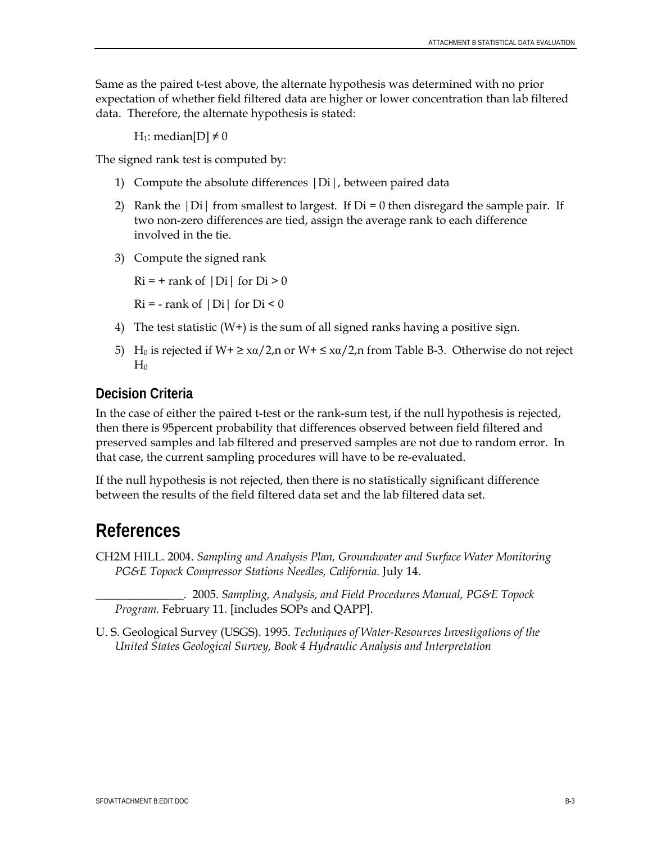Same as the paired t-test above, the alternate hypothesis was determined with no prior expectation of whether field filtered data are higher or lower concentration than lab filtered data. Therefore, the alternate hypothesis is stated:

H<sub>1</sub>: median[D]  $\neq$  0

The signed rank test is computed by:

- 1) Compute the absolute differences |Di|, between paired data
- 2) Rank the  $|D_i|$  from smallest to largest. If  $D_i = 0$  then disregard the sample pair. If two non-zero differences are tied, assign the average rank to each difference involved in the tie.
- 3) Compute the signed rank

 $Ri = +$  rank of  $|Di|$  for  $Di > 0$ 

 $Ri = -$  rank of  $|Di|$  for  $Di < 0$ 

- 4) The test statistic (W+) is the sum of all signed ranks having a positive sign.
- 5) H<sub>0</sub> is rejected if W+  $\geq$  x $\alpha/2$ , n or W+  $\leq$  x $\alpha/2$ , n from Table B-3. Otherwise do not reject  $H<sub>0</sub>$

### **Decision Criteria**

In the case of either the paired t-test or the rank-sum test, if the null hypothesis is rejected, then there is 95percent probability that differences observed between field filtered and preserved samples and lab filtered and preserved samples are not due to random error. In that case, the current sampling procedures will have to be re-evaluated.

If the null hypothesis is not rejected, then there is no statistically significant difference between the results of the field filtered data set and the lab filtered data set.

## **References**

CH2M HILL. 2004. *Sampling and Analysis Plan, Groundwater and Surface Water Monitoring PG&E Topock Compressor Stations Needles, California*. July 14.

\_\_\_\_\_\_\_\_\_\_\_\_\_\_\_. 2005. *Sampling, Analysis, and Field Procedures Manual, PG&E Topock Program.* February 11. [includes SOPs and QAPP].

U. S. Geological Survey (USGS). 1995. *Techniques of Water-Resources Investigations of the United States Geological Survey, Book 4 Hydraulic Analysis and Interpretation*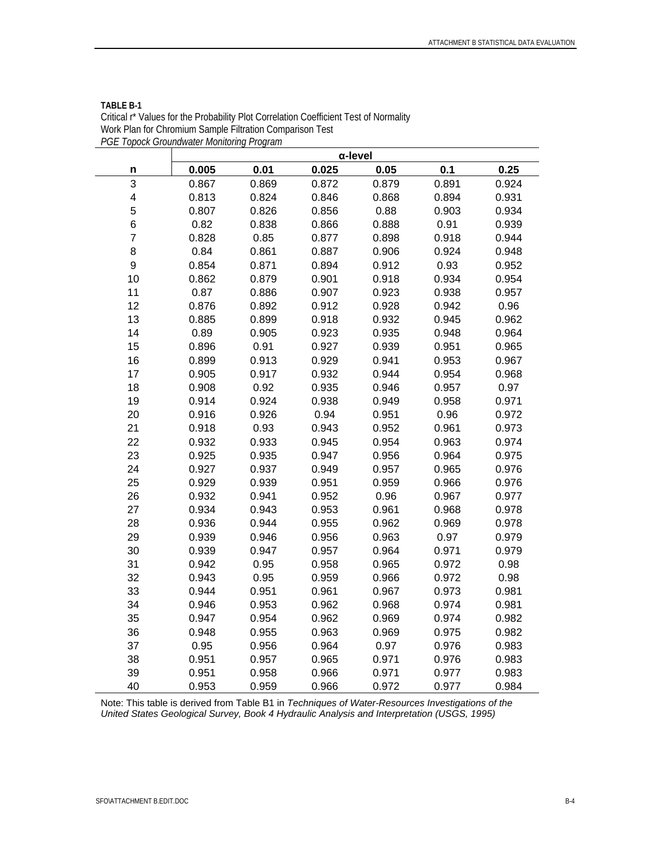|                | α-level |       |       |       |       |       |  |  |
|----------------|---------|-------|-------|-------|-------|-------|--|--|
| n              | 0.005   | 0.01  | 0.025 | 0.05  | 0.1   | 0.25  |  |  |
| 3              | 0.867   | 0.869 | 0.872 | 0.879 | 0.891 | 0.924 |  |  |
| 4              | 0.813   | 0.824 | 0.846 | 0.868 | 0.894 | 0.931 |  |  |
| 5              | 0.807   | 0.826 | 0.856 | 0.88  | 0.903 | 0.934 |  |  |
| 6              | 0.82    | 0.838 | 0.866 | 0.888 | 0.91  | 0.939 |  |  |
| $\overline{7}$ | 0.828   | 0.85  | 0.877 | 0.898 | 0.918 | 0.944 |  |  |
| 8              | 0.84    | 0.861 | 0.887 | 0.906 | 0.924 | 0.948 |  |  |
| 9              | 0.854   | 0.871 | 0.894 | 0.912 | 0.93  | 0.952 |  |  |
| 10             | 0.862   | 0.879 | 0.901 | 0.918 | 0.934 | 0.954 |  |  |
| 11             | 0.87    | 0.886 | 0.907 | 0.923 | 0.938 | 0.957 |  |  |
| 12             | 0.876   | 0.892 | 0.912 | 0.928 | 0.942 | 0.96  |  |  |
| 13             | 0.885   | 0.899 | 0.918 | 0.932 | 0.945 | 0.962 |  |  |
| 14             | 0.89    | 0.905 | 0.923 | 0.935 | 0.948 | 0.964 |  |  |
| 15             | 0.896   | 0.91  | 0.927 | 0.939 | 0.951 | 0.965 |  |  |
| 16             | 0.899   | 0.913 | 0.929 | 0.941 | 0.953 | 0.967 |  |  |
| 17             | 0.905   | 0.917 | 0.932 | 0.944 | 0.954 | 0.968 |  |  |
| 18             | 0.908   | 0.92  | 0.935 | 0.946 | 0.957 | 0.97  |  |  |
| 19             | 0.914   | 0.924 | 0.938 | 0.949 | 0.958 | 0.971 |  |  |
| 20             | 0.916   | 0.926 | 0.94  | 0.951 | 0.96  | 0.972 |  |  |
| 21             | 0.918   | 0.93  | 0.943 | 0.952 | 0.961 | 0.973 |  |  |
| 22             | 0.932   | 0.933 | 0.945 | 0.954 | 0.963 | 0.974 |  |  |
| 23             | 0.925   | 0.935 | 0.947 | 0.956 | 0.964 | 0.975 |  |  |
| 24             | 0.927   | 0.937 | 0.949 | 0.957 | 0.965 | 0.976 |  |  |
| 25             | 0.929   | 0.939 | 0.951 | 0.959 | 0.966 | 0.976 |  |  |
| 26             | 0.932   | 0.941 | 0.952 | 0.96  | 0.967 | 0.977 |  |  |
| 27             | 0.934   | 0.943 | 0.953 | 0.961 | 0.968 | 0.978 |  |  |
| 28             | 0.936   | 0.944 | 0.955 | 0.962 | 0.969 | 0.978 |  |  |
| 29             | 0.939   | 0.946 | 0.956 | 0.963 | 0.97  | 0.979 |  |  |
| 30             | 0.939   | 0.947 | 0.957 | 0.964 | 0.971 | 0.979 |  |  |
| 31             | 0.942   | 0.95  | 0.958 | 0.965 | 0.972 | 0.98  |  |  |
| 32             | 0.943   | 0.95  | 0.959 | 0.966 | 0.972 | 0.98  |  |  |
| 33             | 0.944   | 0.951 | 0.961 | 0.967 | 0.973 | 0.981 |  |  |
| 34             | 0.946   | 0.953 | 0.962 | 0.968 | 0.974 | 0.981 |  |  |
| 35             | 0.947   | 0.954 | 0.962 | 0.969 | 0.974 | 0.982 |  |  |
| 36             | 0.948   | 0.955 | 0.963 | 0.969 | 0.975 | 0.982 |  |  |
| 37             | 0.95    | 0.956 | 0.964 | 0.97  | 0.976 | 0.983 |  |  |
| 38             | 0.951   | 0.957 | 0.965 | 0.971 | 0.976 | 0.983 |  |  |
| 39             | 0.951   | 0.958 | 0.966 | 0.971 | 0.977 | 0.983 |  |  |
| 40             | 0.953   | 0.959 | 0.966 | 0.972 | 0.977 | 0.984 |  |  |

#### **TABLE B-1**  Critical r\* Values for the Probability Plot Correlation Coefficient Test of Normality Work Plan for Chromium Sample Filtration Comparison Test *PGE Topock Groundwater Monitoring Program*

Note: This table is derived from Table B1 in *Techniques of Water-Resources Investigations of the United States Geological Survey, Book 4 Hydraulic Analysis and Interpretation (USGS, 1995)*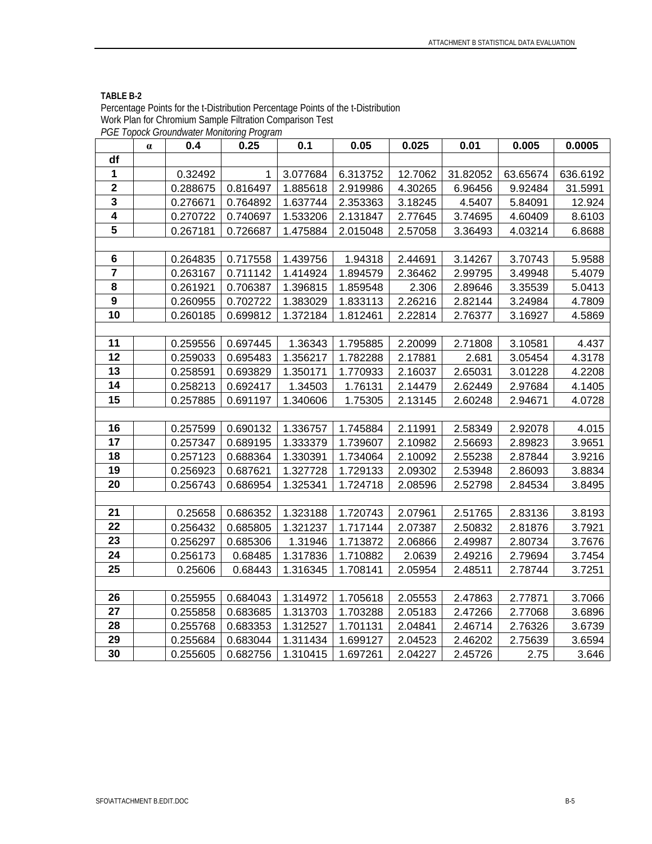| PGE Topock Groundwater Monitoring Program |          |          |          |          |          |         |          |          |          |
|-------------------------------------------|----------|----------|----------|----------|----------|---------|----------|----------|----------|
|                                           | $\alpha$ | 0.4      | 0.25     | 0.1      | 0.05     | 0.025   | 0.01     | 0.005    | 0.0005   |
| df                                        |          |          |          |          |          |         |          |          |          |
| 1                                         |          | 0.32492  | 1        | 3.077684 | 6.313752 | 12.7062 | 31.82052 | 63.65674 | 636.6192 |
| $\boldsymbol{2}$                          |          | 0.288675 | 0.816497 | 1.885618 | 2.919986 | 4.30265 | 6.96456  | 9.92484  | 31.5991  |
| 3                                         |          | 0.276671 | 0.764892 | 1.637744 | 2.353363 | 3.18245 | 4.5407   | 5.84091  | 12.924   |
| 4                                         |          | 0.270722 | 0.740697 | 1.533206 | 2.131847 | 2.77645 | 3.74695  | 4.60409  | 8.6103   |
| 5                                         |          | 0.267181 | 0.726687 | 1.475884 | 2.015048 | 2.57058 | 3.36493  | 4.03214  | 6.8688   |
|                                           |          |          |          |          |          |         |          |          |          |
| $\bf 6$                                   |          | 0.264835 | 0.717558 | 1.439756 | 1.94318  | 2.44691 | 3.14267  | 3.70743  | 5.9588   |
| $\overline{7}$                            |          | 0.263167 | 0.711142 | 1.414924 | 1.894579 | 2.36462 | 2.99795  | 3.49948  | 5.4079   |
| 8                                         |          | 0.261921 | 0.706387 | 1.396815 | 1.859548 | 2.306   | 2.89646  | 3.35539  | 5.0413   |
| 9                                         |          | 0.260955 | 0.702722 | 1.383029 | 1.833113 | 2.26216 | 2.82144  | 3.24984  | 4.7809   |
| 10                                        |          | 0.260185 | 0.699812 | 1.372184 | 1.812461 | 2.22814 | 2.76377  | 3.16927  | 4.5869   |
|                                           |          |          |          |          |          |         |          |          |          |
| 11                                        |          | 0.259556 | 0.697445 | 1.36343  | 1.795885 | 2.20099 | 2.71808  | 3.10581  | 4.437    |
| 12                                        |          | 0.259033 | 0.695483 | 1.356217 | 1.782288 | 2.17881 | 2.681    | 3.05454  | 4.3178   |
| 13                                        |          | 0.258591 | 0.693829 | 1.350171 | 1.770933 | 2.16037 | 2.65031  | 3.01228  | 4.2208   |
| 14                                        |          | 0.258213 | 0.692417 | 1.34503  | 1.76131  | 2.14479 | 2.62449  | 2.97684  | 4.1405   |
| 15                                        |          | 0.257885 | 0.691197 | 1.340606 | 1.75305  | 2.13145 | 2.60248  | 2.94671  | 4.0728   |
|                                           |          |          |          |          |          |         |          |          |          |
| 16                                        |          | 0.257599 | 0.690132 | 1.336757 | 1.745884 | 2.11991 | 2.58349  | 2.92078  | 4.015    |
| 17                                        |          | 0.257347 | 0.689195 | 1.333379 | 1.739607 | 2.10982 | 2.56693  | 2.89823  | 3.9651   |
| 18                                        |          | 0.257123 | 0.688364 | 1.330391 | 1.734064 | 2.10092 | 2.55238  | 2.87844  | 3.9216   |
| 19                                        |          | 0.256923 | 0.687621 | 1.327728 | 1.729133 | 2.09302 | 2.53948  | 2.86093  | 3.8834   |
| 20                                        |          | 0.256743 | 0.686954 | 1.325341 | 1.724718 | 2.08596 | 2.52798  | 2.84534  | 3.8495   |
|                                           |          |          |          |          |          |         |          |          |          |
| 21                                        |          | 0.25658  | 0.686352 | 1.323188 | 1.720743 | 2.07961 | 2.51765  | 2.83136  | 3.8193   |
| 22                                        |          | 0.256432 | 0.685805 | 1.321237 | 1.717144 | 2.07387 | 2.50832  | 2.81876  | 3.7921   |
| 23                                        |          | 0.256297 | 0.685306 | 1.31946  | 1.713872 | 2.06866 | 2.49987  | 2.80734  | 3.7676   |
| 24                                        |          | 0.256173 | 0.68485  | 1.317836 | 1.710882 | 2.0639  | 2.49216  | 2.79694  | 3.7454   |
| 25                                        |          | 0.25606  | 0.68443  | 1.316345 | 1.708141 | 2.05954 | 2.48511  | 2.78744  | 3.7251   |
|                                           |          |          |          |          |          |         |          |          |          |
| 26                                        |          | 0.255955 | 0.684043 | 1.314972 | 1.705618 | 2.05553 | 2.47863  | 2.77871  | 3.7066   |
| 27                                        |          | 0.255858 | 0.683685 | 1.313703 | 1.703288 | 2.05183 | 2.47266  | 2.77068  | 3.6896   |
| 28                                        |          | 0.255768 | 0.683353 | 1.312527 | 1.701131 | 2.04841 | 2.46714  | 2.76326  | 3.6739   |
| 29                                        |          | 0.255684 | 0.683044 | 1.311434 | 1.699127 | 2.04523 | 2.46202  | 2.75639  | 3.6594   |
| 30                                        |          | 0.255605 | 0.682756 | 1.310415 | 1.697261 | 2.04227 | 2.45726  | 2.75     | 3.646    |

#### **TABLE B-2**

Percentage Points for the t-Distribution Percentage Points of the t-Distribution Work Plan for Chromium Sample Filtration Comparison Test